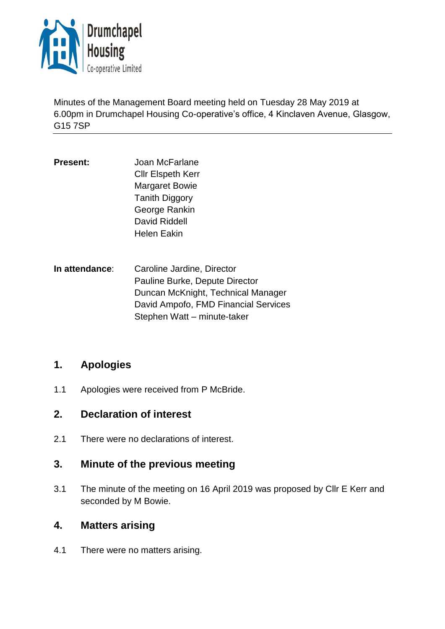

Minutes of the Management Board meeting held on Tuesday 28 May 2019 at 6.00pm in Drumchapel Housing Co-operative's office, 4 Kinclaven Avenue, Glasgow, G15 7SP

**Present:** Joan McFarlane Cllr Elspeth Kerr Margaret Bowie Tanith Diggory George Rankin David Riddell Helen Eakin

**In attendance**: Caroline Jardine, Director Pauline Burke, Depute Director Duncan McKnight, Technical Manager David Ampofo, FMD Financial Services Stephen Watt – minute-taker

# **1. Apologies**

1.1 Apologies were received from P McBride.

## **2. Declaration of interest**

2.1 There were no declarations of interest.

# **3. Minute of the previous meeting**

3.1 The minute of the meeting on 16 April 2019 was proposed by Cllr E Kerr and seconded by M Bowie.

## **4. Matters arising**

4.1 There were no matters arising.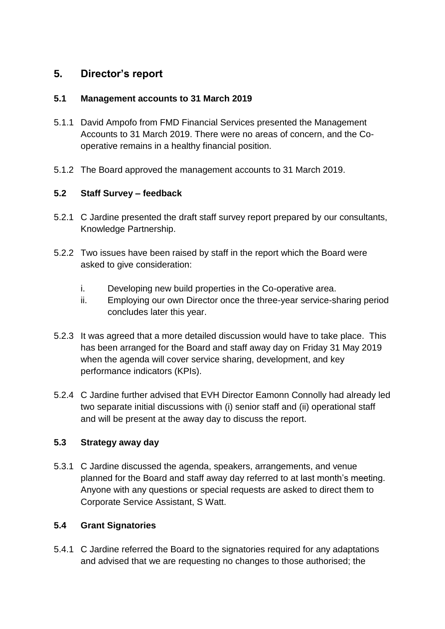# **5. Director's report**

#### **5.1 Management accounts to 31 March 2019**

- 5.1.1 David Ampofo from FMD Financial Services presented the Management Accounts to 31 March 2019. There were no areas of concern, and the Cooperative remains in a healthy financial position.
- 5.1.2 The Board approved the management accounts to 31 March 2019.

## **5.2 Staff Survey – feedback**

- 5.2.1 C Jardine presented the draft staff survey report prepared by our consultants, Knowledge Partnership.
- 5.2.2 Two issues have been raised by staff in the report which the Board were asked to give consideration:
	- i. Developing new build properties in the Co-operative area.
	- ii. Employing our own Director once the three-year service-sharing period concludes later this year.
- 5.2.3 It was agreed that a more detailed discussion would have to take place. This has been arranged for the Board and staff away day on Friday 31 May 2019 when the agenda will cover service sharing, development, and key performance indicators (KPIs).
- 5.2.4 C Jardine further advised that EVH Director Eamonn Connolly had already led two separate initial discussions with (i) senior staff and (ii) operational staff and will be present at the away day to discuss the report.

## **5.3 Strategy away day**

5.3.1 C Jardine discussed the agenda, speakers, arrangements, and venue planned for the Board and staff away day referred to at last month's meeting. Anyone with any questions or special requests are asked to direct them to Corporate Service Assistant, S Watt.

## **5.4 Grant Signatories**

5.4.1 C Jardine referred the Board to the signatories required for any adaptations and advised that we are requesting no changes to those authorised; the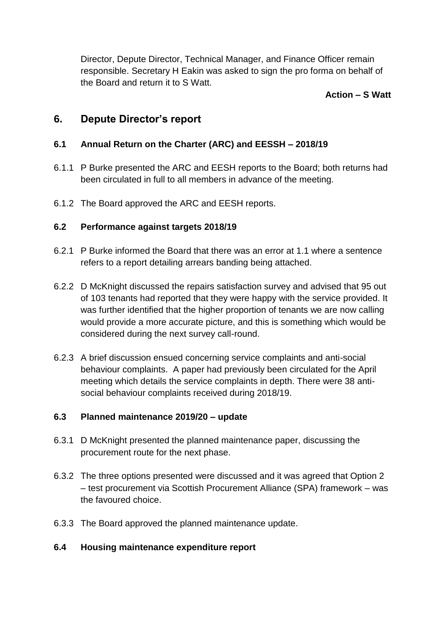Director, Depute Director, Technical Manager, and Finance Officer remain responsible. Secretary H Eakin was asked to sign the pro forma on behalf of the Board and return it to S Watt.

### **Action – S Watt**

## **6. Depute Director's report**

## **6.1 Annual Return on the Charter (ARC) and EESSH – 2018/19**

- 6.1.1 P Burke presented the ARC and EESH reports to the Board; both returns had been circulated in full to all members in advance of the meeting.
- 6.1.2 The Board approved the ARC and EESH reports.

#### **6.2 Performance against targets 2018/19**

- 6.2.1 P Burke informed the Board that there was an error at 1.1 where a sentence refers to a report detailing arrears banding being attached.
- 6.2.2 D McKnight discussed the repairs satisfaction survey and advised that 95 out of 103 tenants had reported that they were happy with the service provided. It was further identified that the higher proportion of tenants we are now calling would provide a more accurate picture, and this is something which would be considered during the next survey call-round.
- 6.2.3 A brief discussion ensued concerning service complaints and anti-social behaviour complaints. A paper had previously been circulated for the April meeting which details the service complaints in depth. There were 38 antisocial behaviour complaints received during 2018/19.

#### **6.3 Planned maintenance 2019/20 – update**

- 6.3.1 D McKnight presented the planned maintenance paper, discussing the procurement route for the next phase.
- 6.3.2 The three options presented were discussed and it was agreed that Option 2 – test procurement via Scottish Procurement Alliance (SPA) framework – was the favoured choice.
- 6.3.3 The Board approved the planned maintenance update.

#### **6.4 Housing maintenance expenditure report**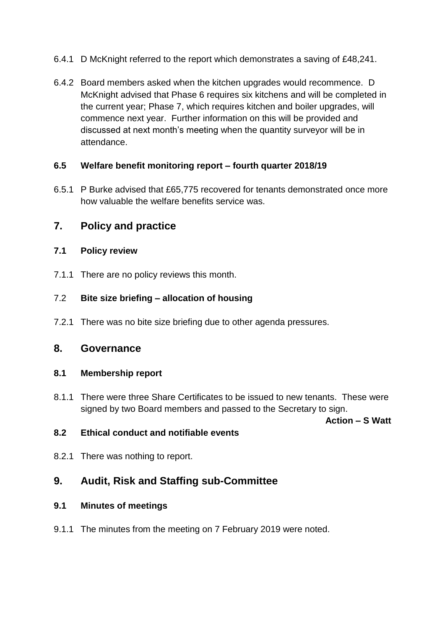- 6.4.1 D McKnight referred to the report which demonstrates a saving of £48,241.
- 6.4.2 Board members asked when the kitchen upgrades would recommence. D McKnight advised that Phase 6 requires six kitchens and will be completed in the current year; Phase 7, which requires kitchen and boiler upgrades, will commence next year. Further information on this will be provided and discussed at next month's meeting when the quantity surveyor will be in attendance.

## **6.5 Welfare benefit monitoring report – fourth quarter 2018/19**

6.5.1 P Burke advised that £65,775 recovered for tenants demonstrated once more how valuable the welfare benefits service was.

# **7. Policy and practice**

#### **7.1 Policy review**

7.1.1 There are no policy reviews this month.

#### 7.2 **Bite size briefing – allocation of housing**

7.2.1 There was no bite size briefing due to other agenda pressures.

## **8. Governance**

#### **8.1 Membership report**

8.1.1 There were three Share Certificates to be issued to new tenants. These were signed by two Board members and passed to the Secretary to sign.

**Action – S Watt**

#### **8.2 Ethical conduct and notifiable events**

8.2.1 There was nothing to report.

# **9. Audit, Risk and Staffing sub-Committee**

#### **9.1 Minutes of meetings**

9.1.1 The minutes from the meeting on 7 February 2019 were noted.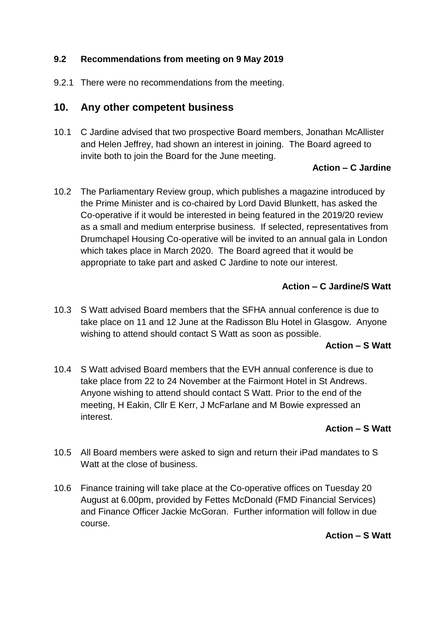## **9.2 Recommendations from meeting on 9 May 2019**

9.2.1 There were no recommendations from the meeting.

## **10. Any other competent business**

10.1 C Jardine advised that two prospective Board members, Jonathan McAllister and Helen Jeffrey, had shown an interest in joining. The Board agreed to invite both to join the Board for the June meeting.

## **Action – C Jardine**

10.2 The Parliamentary Review group, which publishes a magazine introduced by the Prime Minister and is co-chaired by Lord David Blunkett, has asked the Co-operative if it would be interested in being featured in the 2019/20 review as a small and medium enterprise business. If selected, representatives from Drumchapel Housing Co-operative will be invited to an annual gala in London which takes place in March 2020. The Board agreed that it would be appropriate to take part and asked C Jardine to note our interest.

## **Action – C Jardine/S Watt**

10.3 S Watt advised Board members that the SFHA annual conference is due to take place on 11 and 12 June at the Radisson Blu Hotel in Glasgow. Anyone wishing to attend should contact S Watt as soon as possible.

#### **Action – S Watt**

10.4 S Watt advised Board members that the EVH annual conference is due to take place from 22 to 24 November at the Fairmont Hotel in St Andrews. Anyone wishing to attend should contact S Watt. Prior to the end of the meeting, H Eakin, Cllr E Kerr, J McFarlane and M Bowie expressed an interest.

## **Action – S Watt**

- 10.5 All Board members were asked to sign and return their iPad mandates to S Watt at the close of business.
- 10.6 Finance training will take place at the Co-operative offices on Tuesday 20 August at 6.00pm, provided by Fettes McDonald (FMD Financial Services) and Finance Officer Jackie McGoran. Further information will follow in due course.

#### **Action – S Watt**